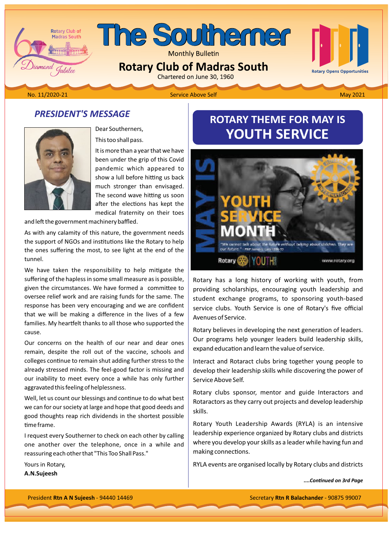## The Southerner

**Monthly Bulletin** 

**Rotary Club of Madras South** 

# **Rotary Opens Opportunities**

iamond Jubilee

**Rotary Club of Madras South** 

2021 Mo. 11/2020-21 **May 2021** Service Above Self Above Service Above Service Above Service Above Service Above Service Above Service Above Service Above Service Above Service Above Service Above Service Above Service Abov

#### **PRESIDENT'S MESSAGE**



Dear Southerners.

This too shall pass.

It is more than a year that we have been under the grip of this Covid pandemic which appeared to show a lull before hitting us back much stronger than envisaged. The second wave hitting us soon after the elections has kept the medical fraternity on their toes

and left the government machinery baffled.

As with any calamity of this nature, the government needs the support of NGOs and institutions like the Rotary to help the ones suffering the most, to see light at the end of the .tunnel

We have taken the responsibility to help mitigate the suffering of the hapless in some small measure as is possible, given the circumstances. We have formed a committee to oversee relief work and are raising funds for the same. The response has been very encouraging and we are confident that we will be making a difference in the lives of a few families. My heartfelt thanks to all those who supported the .cause

Our concerns on the health of our near and dear ones remain, despite the roll out of the vaccine, schools and colleges continue to remain shut adding further stress to the already stressed minds. The feel-good factor is missing and our inability to meet every once a while has only further aggravated this feeling of helplessness.

Well, let us count our blessings and continue to do what best we can for our society at large and hope that good deeds and good thoughts reap rich dividends in the shortest possible time frame.

I request every Southerner to check on each other by calling one another over the telephone, once in a while and reassuring each other that "This Too Shall Pass."

Yours in Rotary, A.N.Sujeesh

#### **ROTARY THEME FOR MAY IS YOUTH SERVICE**



Rotary has a long history of working with youth, from providing scholarships, encouraging youth leadership and student exchange programs, to sponsoring youth-based service clubs. Youth Service is one of Rotary's five official Avenues of Service.

Rotary believes in developing the next generation of leaders. Our programs help younger leaders build leadership skills, expand education and learn the value of service.

Interact and Rotaract clubs bring together young people to develop their leadership skills while discovering the power of Service Above Self.

Rotary clubs sponsor, mentor and guide Interactors and Rotaractors as they carry out projects and develop leadership .skills

Rotary Youth Leadership Awards (RYLA) is an intensive leadership experience organized by Rotary clubs and districts where you develop your skills as a leader while having fun and making connections.

RYLA events are organised locally by Rotary clubs and districts

*Page ϯrd on ConƟnƵed....*

President Rtn A N Sujeesh - 94440 14469 **1990 - President R R Balachander - 90875 99007 Secretary Rtn R Balachander - 90875 99007**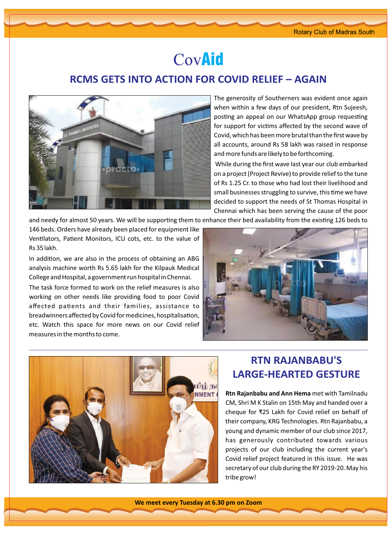### CovAid

#### **RCMS GETS INTO ACTION FOR COVID RELIEF – AGAIN**



The generosity of Southerners was evident once again when within a few days of our president, Rtn Sujeesh, posting an appeal on our WhatsApp group requesting for support for victims affected by the second wave of Covid, which has been more brutal than the first wave by all accounts, around Rs 58 lakh was raised in response and more funds are likely to be forthcoming.

While during the first wave last year our club embarked on a project (Project Revive) to provide relief to the tune of Rs 1.25 Cr. to those who had lost their livelihood and small businesses struggling to survive, this time we have decided to support the needs of St Thomas Hospital in Chennai which has been serving the cause of the poor

and needy for almost 50 years. We will be supporting them to enhance their bed availability from the existing 126 beds to

146 beds. Orders have already been placed for equipment like Ventilators, Patient Monitors, ICU cots, etc. to the value of Rs 35 lakh.

In addition, we are also in the process of obtaining an ABG analysis machine worth Rs 5.65 lakh for the Kilpauk Medical College and Hospital, a government run hospital in Chennai.

The task force formed to work on the relief measures is also working on other needs like providing food to poor Covid affected patients and their families, assistance to breadwinners affected by Covid for medicines, hospitalisation, etc. Watch this space for more news on our Covid relief measures in the months to come.





#### **RTN RAJANBABU'S LARGE-HEARTED GESTURE**

Rtn Rajanbabu and Ann Hema met with Tamilnadu CM, Shri M K Stalin on 15th May and handed over a cheque for ₹25 Lakh for Covid relief on behalf of their company, KRG Technologies. Rtn Rajanbabu, a young and dynamic member of our club since 2017, has generously contributed towards various projects of our club including the current year's Covid relief project featured in this issue. He was secretary of our club during the RY 2019-20. May his tribe grow!

**We meet every Tuesday at 6.30 pm on Zoom**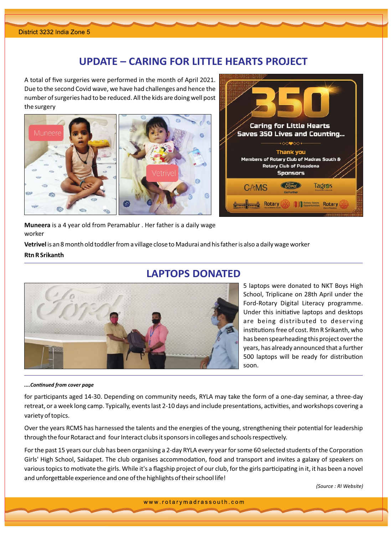#### **UPDATE – CARING FOR LITTLE HEARTS PROJECT**

A total of five surgeries were performed in the month of April 2021. Due to the second Covid wave, we have had challenges and hence the number of surgeries had to be reduced. All the kids are doing well post the surgery





Muneera is a 4 year old from Peramablur . Her father is a daily wage worker

Vetrivel is an 8 month old toddler from a village close to Madurai and his father is also a daily wage worker **Rtn R Srikanth** 



#### **LAPTOPS DONATED**

5 laptops were donated to NKT Boys High School, Triplicane on 28th April under the Ford-Rotary Digital Literacy programme. Under this initiative laptops and desktops are being distributed to deserving institutions free of cost. Rtn R Srikanth, who has been spearheading this project over the years, has already announced that a further 500 laptops will be ready for distribution .soon

#### *page coǀer from ConƟnƵed....*

for participants aged 14-30. Depending on community needs, RYLA may take the form of a one-day seminar, a three-day retreat, or a week long camp. Typically, events last 2-10 days and include presentations, activities, and workshops covering a variety of topics.

Over the years RCMS has harnessed the talents and the energies of the young, strengthening their potential for leadership through the four Rotaract and four Interact clubs it sponsors in colleges and schools respectively.

For the past 15 years our club has been organising a 2-day RYLA every year for some 60 selected students of the Corporation Girls' High School, Saidapet. The club organises accommodation, food and transport and invites a galaxy of speakers on various topics to motivate the girls. While it's a flagship project of our club, for the girls participating in it, it has been a novel and unforgettable experience and one of the highlights of their school life!

*(Source: RI Website)* 

www.rotarymadrassouth.com